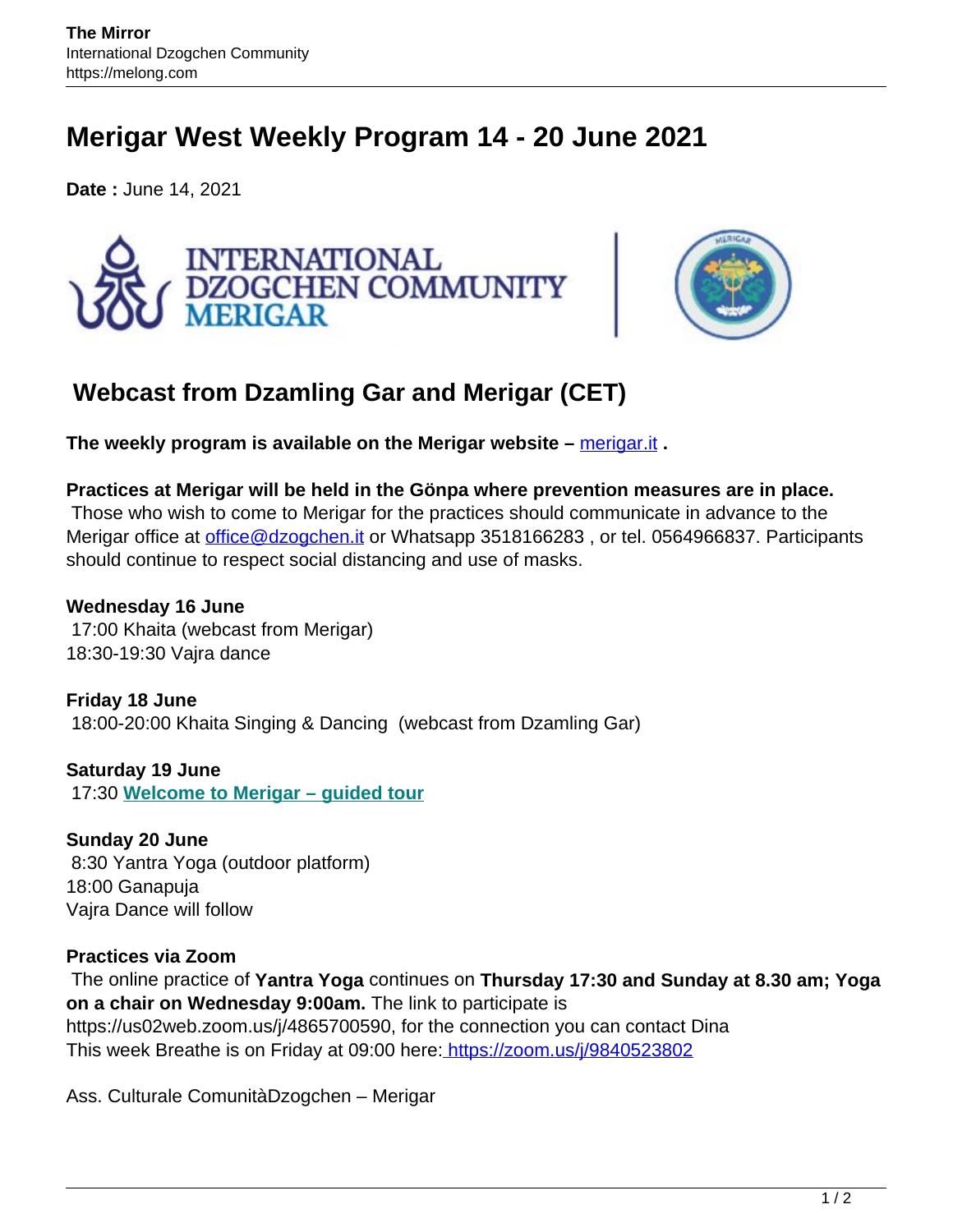## **Merigar West Weekly Program 14 - 20 June 2021**

**Date :** June 14, 2021





## **Webcast from Dzamling Gar and Merigar (CET)**

**The weekly program is available on the Merigar website –** [merigar.it](https://www.merigar.it/en/courses-and-events/weekly-program-june14-20/) **.**

**Practices at Merigar will be held in the Gönpa where prevention measures are in place.** Those who wish to come to Merigar for the practices should communicate in advance to the Merigar office at office@dzogchen.it or Whatsapp 3518166283, or tel. 0564966837. Participants should continue to respect social distancing and use of masks.

## **Wednesday 16 June**

17:00 Khaita (webcast from Merigar) 18:30-19:30 Vajra dance

**Friday 18 June** 18:00-20:00 Khaita Singing & Dancing (webcast from Dzamling Gar)

**Saturday 19 June** 17:30 **Welcome to Merigar – guided tour**

**Sunday 20 June** 8:30 Yantra Yoga (outdoor platform) 18:00 Ganapuja Vajra Dance will follow

## **Practices via Zoom**

The online practice of **Yantra Yoga** continues on **Thursday 17:30 and Sunday at 8.30 am; Yoga on a chair on Wednesday 9:00am.** The link to participate is https://us02web.zoom.us/j/4865700590, for the connection you can contact Dina This week Breathe is on Friday at 09:00 here: https://zoom.us/j/9840523802

Ass. Culturale ComunitàDzogchen – Merigar